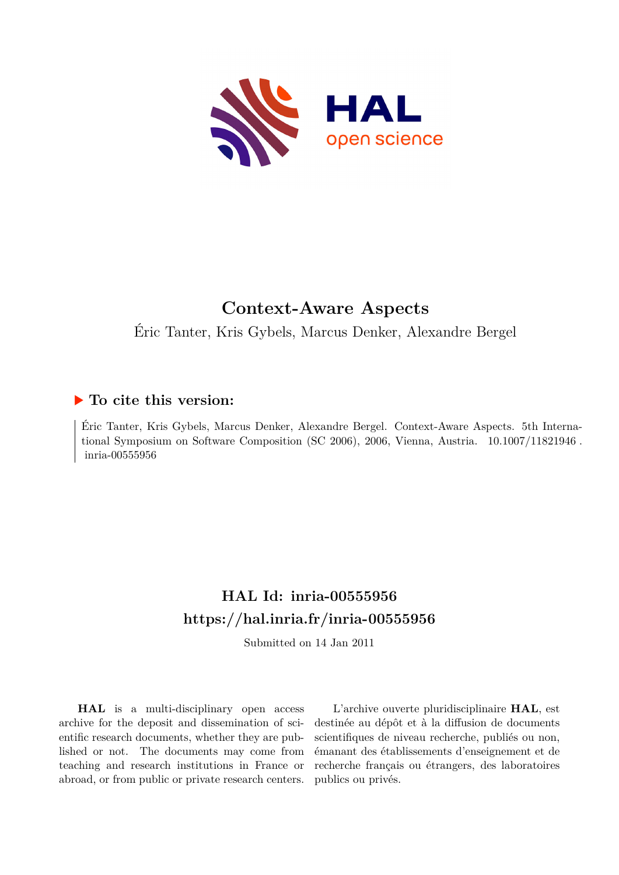

# **Context-Aware Aspects**

Éric Tanter, Kris Gybels, Marcus Denker, Alexandre Bergel

## **To cite this version:**

Éric Tanter, Kris Gybels, Marcus Denker, Alexandre Bergel. Context-Aware Aspects. 5th International Symposium on Software Composition (SC 2006), 2006, Vienna, Austria.  $10.1007/11821946$ . inria-00555956

# **HAL Id: inria-00555956 <https://hal.inria.fr/inria-00555956>**

Submitted on 14 Jan 2011

**HAL** is a multi-disciplinary open access archive for the deposit and dissemination of scientific research documents, whether they are published or not. The documents may come from teaching and research institutions in France or abroad, or from public or private research centers.

L'archive ouverte pluridisciplinaire **HAL**, est destinée au dépôt et à la diffusion de documents scientifiques de niveau recherche, publiés ou non, émanant des établissements d'enseignement et de recherche français ou étrangers, des laboratoires publics ou privés.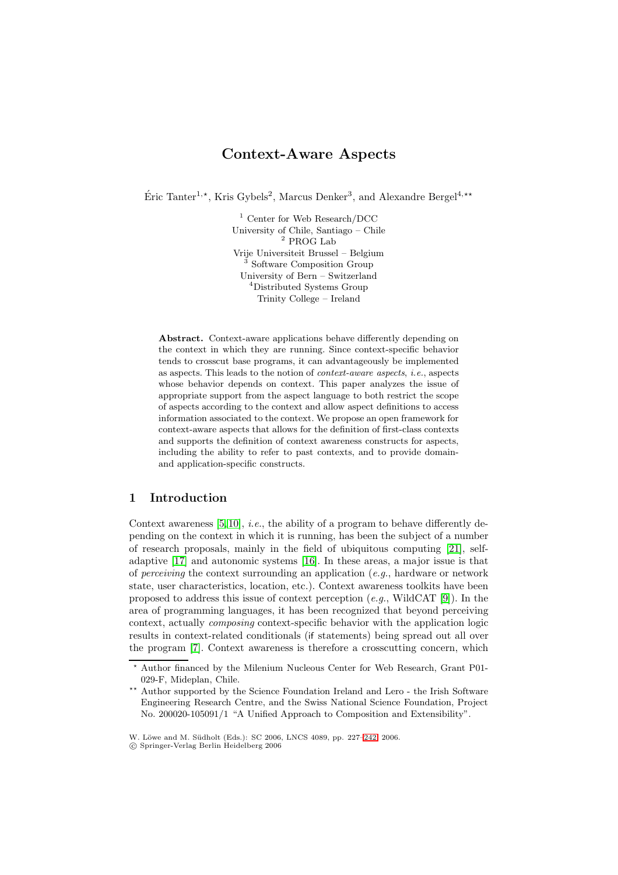## **Context-Aware Aspects**

Éric Tanter<sup>1,\*</sup>, Kris Gybels<sup>2</sup>, Marcus Denker<sup>3</sup>, and Alexandre Bergel<sup>4,\*\*</sup>

 $^{\rm 1}$  Center for Web Research/DCC University of Chile, Santiago – Chile  $^{\rm 2}$  PROG Lab Vrije Universiteit Brussel – Belgium <sup>3</sup> Software Composition Group University of Bern – Switzerland <sup>4</sup>Distributed Systems Group Trinity College – Ireland

**Abstract.** Context-aware applications behave differently depending on the context in which they are running. Since context-specific behavior tends to crosscut base programs, it can advantageously be implemented as aspects. This leads to the notion of context-aware aspects, i.e., aspects whose behavior depends on context. This paper analyzes the issue of appropriate support from the aspect language to both restrict the scope of aspects according to the context and allow aspect definitions to access information associated to the context. We propose an open framework for context-aware aspects that allows for the definition of first-class contexts and supports the definition of context awareness constructs for aspects, including the ability to refer to past contexts, and to provide domainand application-specific constructs.

#### **1 Introduction**

Context awareness  $[5,10]$ , *i.e.*, the ability of a program to behave differently depending on the context in which it is running, has been the subject of a number of research proposals, mainly in the field of ubiquitous computing [21], selfadaptive [17] and autonomic systems [16]. In these areas, a major issue is that of *perceiving* the context surrounding an application  $(e.g.,)$  hardware or network state, user characteristics, location, etc.). Context awareness toolkits have been proposed to address this issue of context perception (e.g., WildCAT [9]). In the area of programming languages, it has been recognized that beyond perceiving context, actually composing context-specific behavior with the application logic results in context-related conditionals (if statements) being spread out all over the program [7]. Context awareness is therefore a crosscutting concern, which

<sup>-</sup> Author financed by the Milenium Nucleous Center for Web Research, Grant P01- 029-F, Mideplan, Chile.

<sup>\*\*</sup> Author supported by the Science Foundation Ireland and Lero - the Irish Software Engineering Research Centre, and the Swiss National Science Foundation, Project No. 200020-105091/1 "A Unified Approach to Composition and Extensibility".

W. Löwe and M. Südholt (Eds.): SC 2006, LNCS 4089, pp. 227–242, 2006.

<sup>-</sup>c Springer-Verlag Berlin Heidelberg 2006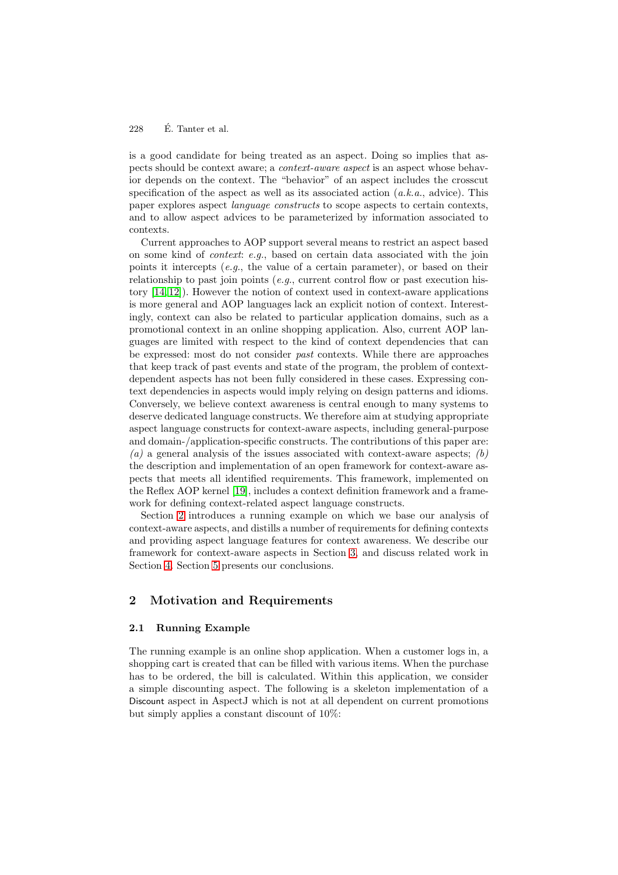is a good candidate for being treated as an aspect. Doing so implies that aspects should be context aware; a context-aware aspect is an aspect whose behavior depends on the context. The "behavior" of an aspect includes the crosscut specification of the aspect as well as its associated action  $(a.k.a., advice).$  This paper explores aspect language constructs to scope aspects to certain contexts, and to allow aspect advices to be parameterized by information associated to contexts.

Current approaches to AOP support several means to restrict an aspect based on some kind of context: e.g., based on certain data associated with the join points it intercepts  $(e.q.,\)$  the value of a certain parameter), or based on their relationship to past join points  $(e, a, c)$  current control flow or past execution history [14,12]). However the notion of context used in context-aware applications is more general and AOP languages lack an explicit notion of context. Interestingly, context can also be related to particular application domains, such as a promotional context in an online shopping application. Also, current AOP languages are limited with respect to the kind of context dependencies that can be expressed: most do not consider past contexts. While there are approaches that keep track of past events and state of the program, the problem of contextdependent aspects has not been fully considered in these cases. Expressing context dependencies in aspects would imply relying on design patterns and idioms. Conversely, we believe context awareness is central enough to many systems to deserve dedicated language constructs. We therefore aim at studying appropriate aspect language constructs for context-aware aspects, including general-purpose and domain-/application-specific constructs. The contributions of this paper are: (a) a general analysis of the issues associated with context-aware aspects;  $(b)$ the description and implementation of an open framework for context-aware aspects that meets all identified requirements. This framework, implemented on the Reflex AOP kernel [19], includes a context definition framework and a framework for defining context-related aspect language constructs.

Section 2 introduces a running example on which we base our analysis of context-aware aspects, and distills a number of requirements for defining contexts and providing aspect language features for context awareness. We describe our framework for context-aware aspects in Section 3, and discuss related work in Section 4. Section 5 presents our conclusions.

## **2 Motivation and Requirements**

#### **2.1 Running Example**

The running example is an online shop application. When a customer logs in, a shopping cart is created that can be filled with various items. When the purchase has to be ordered, the bill is calculated. Within this application, we consider a simple discounting aspect. The following is a skeleton implementation of a Discount aspect in AspectJ which is not at all dependent on current promotions but simply applies a constant discount of 10%: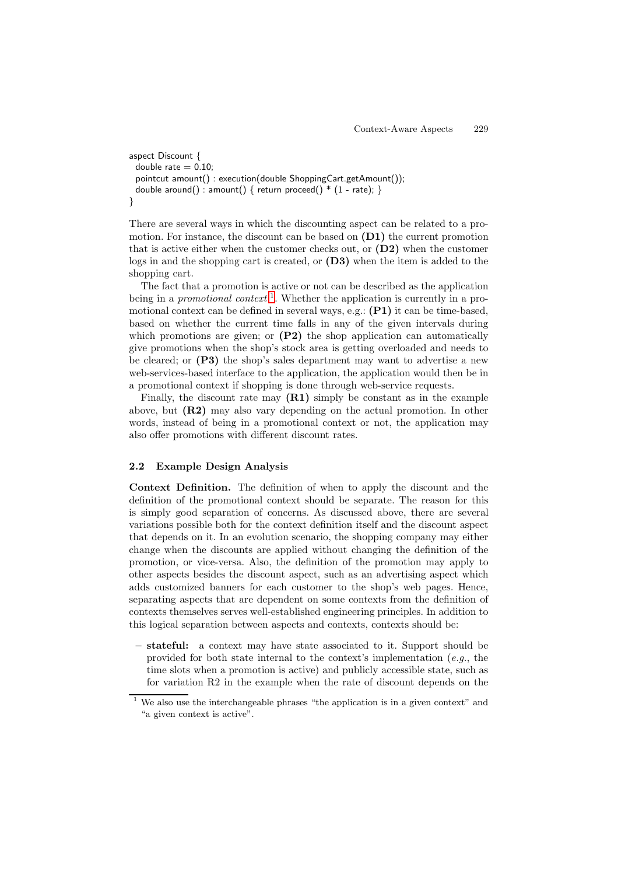```
aspect Discount {
 double rate = 0.10:
 pointcut amount() : execution(double ShoppingCart.getAmount());
 double around() : amount() { return proceed() *(1 - rate); }
}
```
There are several ways in which the discounting aspect can be related to a promotion. For instance, the discount can be based on **(D1)** the current promotion that is active either when the customer checks out, or **(D2)** when the customer logs in and the shopping cart is created, or **(D3)** when the item is added to the shopping cart.

The fact that a promotion is active or not can be described as the application being in a *promotional context*  $\frac{1}{1}$ . Whether the application is currently in a promotional context can be defined in several ways, e.g.: **(P1)** it can be time-based, based on whether the current time falls in any of the given intervals during which promotions are given; or **(P2)** the shop application can automatically give promotions when the shop's stock area is getting overloaded and needs to be cleared; or **(P3)** the shop's sales department may want to advertise a new web-services-based interface to the application, the application would then be in a promotional context if shopping is done through web-service requests.

Finally, the discount rate may **(R1)** simply be constant as in the example above, but **(R2)** may also vary depending on the actual promotion. In other words, instead of being in a promotional context or not, the application may also offer promotions with different discount rates.

#### **2.2 Example Design Analysis**

**Context Definition.** The definition of when to apply the discount and the definition of the promotional context should be separate. The reason for this is simply good separation of concerns. As discussed above, there are several variations possible both for the context definition itself and the discount aspect that depends on it. In an evolution scenario, the shopping company may either change when the discounts are applied without changing the definition of the promotion, or vice-versa. Also, the definition of the promotion may apply to other aspects besides the discount aspect, such as an advertising aspect which adds customized banners for each customer to the shop's web pages. Hence, separating aspects that are dependent on some contexts from the definition of contexts themselves serves well-established engineering principles. In addition to this logical separation between aspects and contexts, contexts should be:

**– stateful:** a context may have state associated to it. Support should be provided for both state internal to the context's implementation  $(e.q.,\,$ the time slots when a promotion is active) and publicly accessible state, such as for variation R2 in the example when the rate of discount depends on the

We also use the interchangeable phrases "the application is in a given context" and "a given context is active".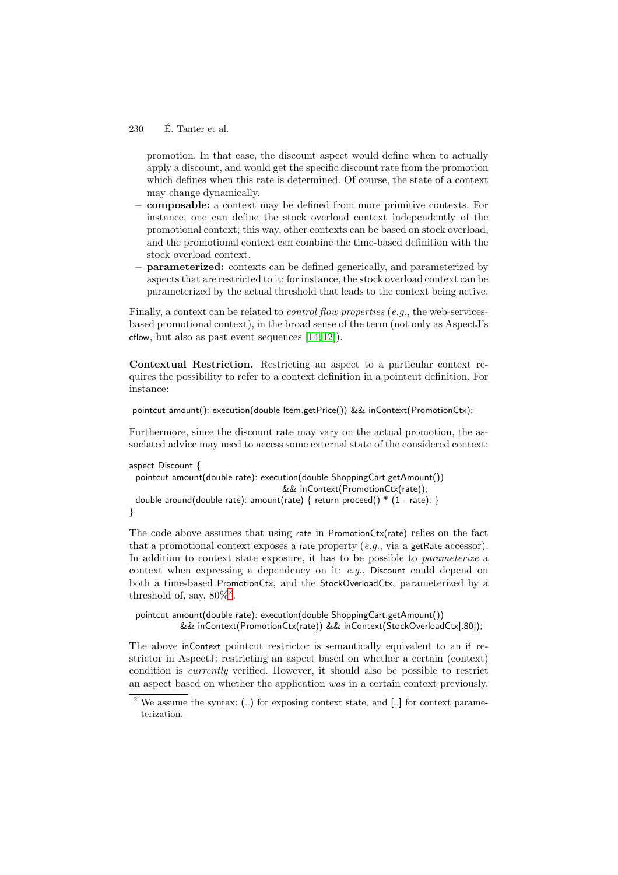promotion. In that case, the discount aspect would define when to actually apply a discount, and would get the specific discount rate from the promotion which defines when this rate is determined. Of course, the state of a context may change dynamically.

- **composable:** a context may be defined from more primitive contexts. For instance, one can define the stock overload context independently of the promotional context; this way, other contexts can be based on stock overload, and the promotional context can combine the time-based definition with the stock overload context.
- **parameterized:** contexts can be defined generically, and parameterized by aspects that are restricted to it; for instance, the stock overload context can be parameterized by the actual threshold that leads to the context being active.

Finally, a context can be related to *control flow properties* (e.g., the web-servicesbased promotional context), in the broad sense of the term (not only as AspectJ's cflow, but also as past event sequences [14,12]).

**Contextual Restriction.** Restricting an aspect to a particular context requires the possibility to refer to a context definition in a pointcut definition. For instance:

pointcut amount(): execution(double Item.getPrice()) && inContext(PromotionCtx);

Furthermore, since the discount rate may vary on the actual promotion, the associated advice may need to access some external state of the considered context:

```
aspect Discount {
 pointcut amount(double rate): execution(double ShoppingCart.getAmount())
                                    && inContext(PromotionCtx(rate));
 double around(double rate): amount(rate) { return proceed() *(1 - rate); }
}
```
The code above assumes that using rate in PromotionCtx(rate) relies on the fact that a promotional context exposes a rate property (e.g., via a getRate accessor). In addition to context state exposure, it has to be possible to *parameterize* a context when expressing a dependency on it: e.g., Discount could depend on both a time-based PromotionCtx, and the StockOverloadCtx, parameterized by a threshold of, say,  $80\%^2$ .

```
pointcut amount(double rate): execution(double ShoppingCart.getAmount())
          && inContext(PromotionCtx(rate)) && inContext(StockOverloadCtx[.80]);
```
The above inContext pointcut restrictor is semantically equivalent to an if restrictor in AspectJ: restricting an aspect based on whether a certain (context) condition is currently verified. However, it should also be possible to restrict an aspect based on whether the application was in a certain context previously.

We assume the syntax: (..) for exposing context state, and [..] for context parameterization.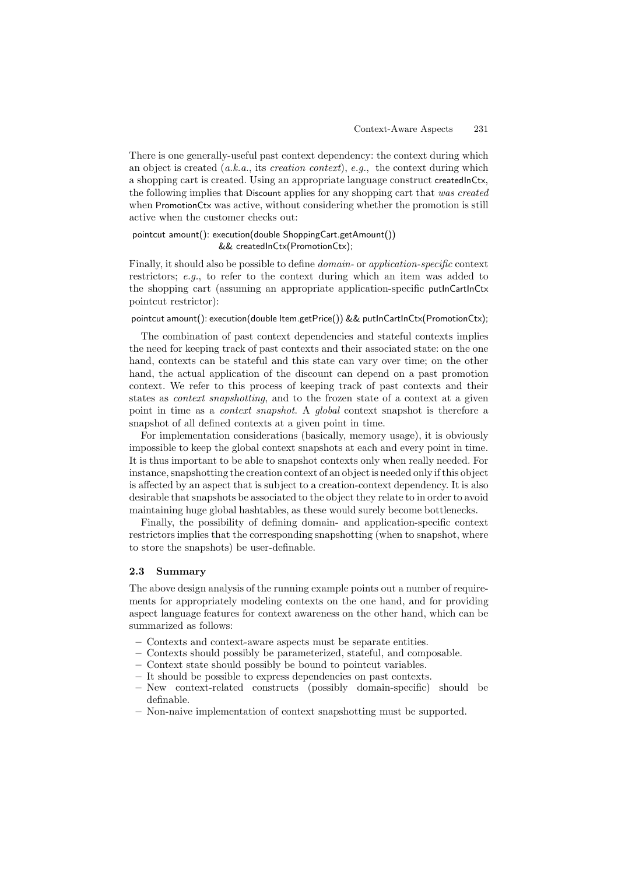There is one generally-useful past context dependency: the context during which an object is created  $(a.k.a.,$  its *creation context*), e.g., the context during which a shopping cart is created. Using an appropriate language construct createdInCtx, the following implies that Discount applies for any shopping cart that was created when PromotionCtx was active, without considering whether the promotion is still active when the customer checks out:

#### pointcut amount(): execution(double ShoppingCart.getAmount()) && createdInCtx(PromotionCtx);

Finally, it should also be possible to define domain- or application-specific context restrictors; e.g., to refer to the context during which an item was added to the shopping cart (assuming an appropriate application-specific putInCartInCtx pointcut restrictor):

#### pointcut amount(): execution(double Item.getPrice()) && putInCartInCtx(PromotionCtx);

The combination of past context dependencies and stateful contexts implies the need for keeping track of past contexts and their associated state: on the one hand, contexts can be stateful and this state can vary over time; on the other hand, the actual application of the discount can depend on a past promotion context. We refer to this process of keeping track of past contexts and their states as context snapshotting, and to the frozen state of a context at a given point in time as a context snapshot. A global context snapshot is therefore a snapshot of all defined contexts at a given point in time.

For implementation considerations (basically, memory usage), it is obviously impossible to keep the global context snapshots at each and every point in time. It is thus important to be able to snapshot contexts only when really needed. For instance, snapshotting the creation context of an object is needed only if this object is affected by an aspect that is subject to a creation-context dependency. It is also desirable that snapshots be associated to the object they relate to in order to avoid maintaining huge global hashtables, as these would surely become bottlenecks.

Finally, the possibility of defining domain- and application-specific context restrictors implies that the corresponding snapshotting (when to snapshot, where to store the snapshots) be user-definable.

#### **2.3 Summary**

The above design analysis of the running example points out a number of requirements for appropriately modeling contexts on the one hand, and for providing aspect language features for context awareness on the other hand, which can be summarized as follows:

- **–** Contexts and context-aware aspects must be separate entities.
- **–** Contexts should possibly be parameterized, stateful, and composable.
- **–** Context state should possibly be bound to pointcut variables.
- **–** It should be possible to express dependencies on past contexts.
- **–** New context-related constructs (possibly domain-specific) should be definable.
- **–** Non-naive implementation of context snapshotting must be supported.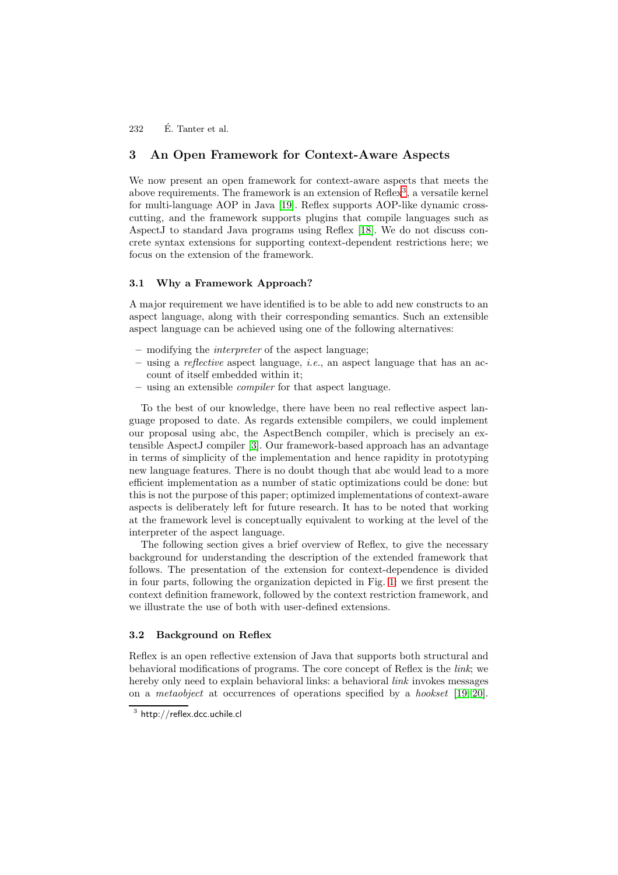## **3 An Open Framework for Context-Aware Aspects**

We now present an open framework for context-aware aspects that meets the above requirements. The framework is an extension of  $\text{Reflex}^3$ , a versatile kernel for multi-language AOP in Java [19]. Reflex supports AOP-like dynamic crosscutting, and the framework supports plugins that compile languages such as AspectJ to standard Java programs using Reflex [18]. We do not discuss concrete syntax extensions for supporting context-dependent restrictions here; we focus on the extension of the framework.

#### **3.1 Why a Framework Approach?**

A major requirement we have identified is to be able to add new constructs to an aspect language, along with their corresponding semantics. Such an extensible aspect language can be achieved using one of the following alternatives:

- **–** modifying the interpreter of the aspect language;
- **–** using a reflective aspect language, i.e., an aspect language that has an account of itself embedded within it;
- **–** using an extensible compiler for that aspect language.

To the best of our knowledge, there have been no real reflective aspect language proposed to date. As regards extensible compilers, we could implement our proposal using abc, the AspectBench compiler, which is precisely an extensible AspectJ compiler [3]. Our framework-based approach has an advantage in terms of simplicity of the implementation and hence rapidity in prototyping new language features. There is no doubt though that abc would lead to a more efficient implementation as a number of static optimizations could be done: but this is not the purpose of this paper; optimized implementations of context-aware aspects is deliberately left for future research. It has to be noted that working at the framework level is conceptually equivalent to working at the level of the interpreter of the aspect language.

The following section gives a brief overview of Reflex, to give the necessary background for understanding the description of the extended framework that follows. The presentation of the extension for context-dependence is divided in four parts, following the organization depicted in Fig. 1: we first present the context definition framework, followed by the context restriction framework, and we illustrate the use of both with user-defined extensions.

#### **3.2 Background on Reflex**

Reflex is an open reflective extension of Java that supports both structural and behavioral modifications of programs. The core concept of Reflex is the link; we hereby only need to explain behavioral links: a behavioral *link* invokes messages on a metaobject at occurrences of operations specified by a hookset [19, 20].

<sup>3</sup> http://reflex.dcc.uchile.cl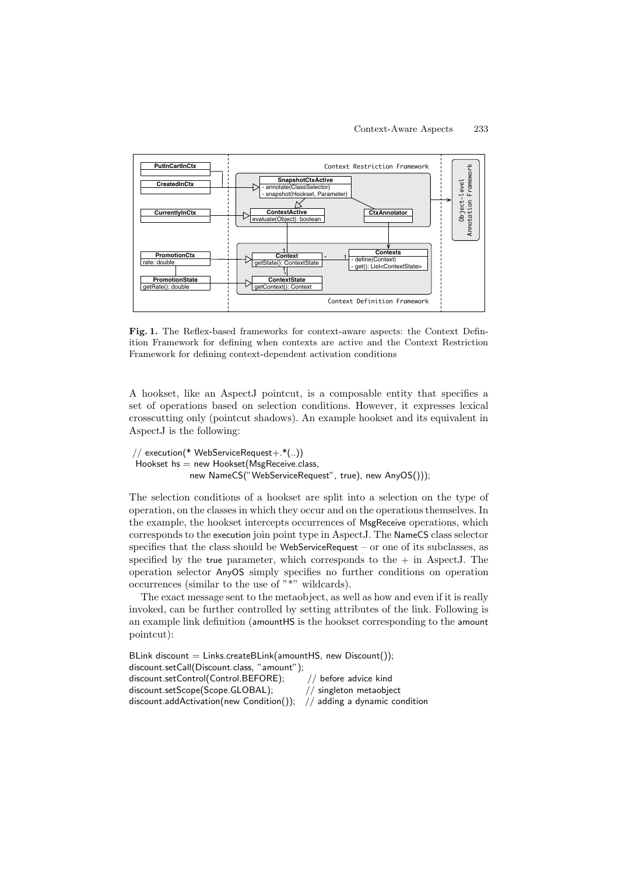

**Fig. 1.** The Reflex-based frameworks for context-aware aspects: the Context Definition Framework for defining when contexts are active and the Context Restriction Framework for defining context-dependent activation conditions

A hookset, like an AspectJ pointcut, is a composable entity that specifies a set of operations based on selection conditions. However, it expresses lexical crosscutting only (pointcut shadows). An example hookset and its equivalent in AspectJ is the following:

```
// execution(* WebServiceRequest+.*(..))
Hookset hs = new Hookset(MsgReceive.class,
             new NameCS("WebServiceRequest", true), new AnyOS()));
```
The selection conditions of a hookset are split into a selection on the type of operation, on the classes in which they occur and on the operations themselves. In the example, the hookset intercepts occurrences of MsgReceive operations, which corresponds to the execution join point type in AspectJ. The NameCS class selector specifies that the class should be WebServiceRequest – or one of its subclasses, as specified by the true parameter, which corresponds to the  $+$  in AspectJ. The operation selector AnyOS simply specifies no further conditions on operation occurrences (similar to the use of "\*" wildcards).

The exact message sent to the metaobject, as well as how and even if it is really invoked, can be further controlled by setting attributes of the link. Following is an example link definition (amountHS is the hookset corresponding to the amount pointcut):

BLink discount  $=$  Links.createBLink(amountHS, new Discount()); discount.setCall(Discount.class, "amount"); discount.setControl(Control.BEFORE); // before advice kind discount.setScope(Scope.GLOBAL); // singleton metaobject discount.addActivation(new Condition()); // adding a dynamic condition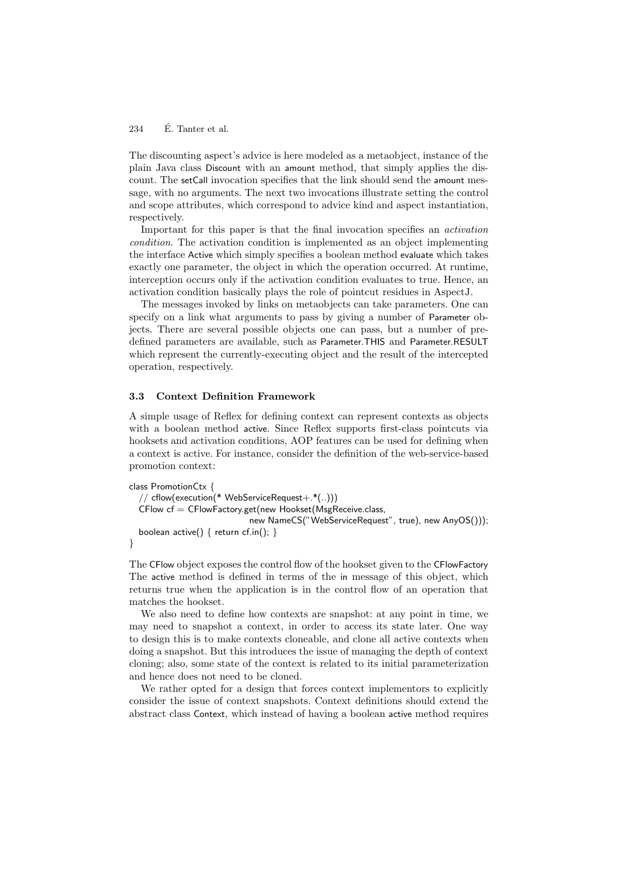The discounting aspect's advice is here modeled as a metaobject, instance of the plain Java class Discount with an amount method, that simply applies the discount. The setCall invocation specifies that the link should send the amount message, with no arguments. The next two invocations illustrate setting the control and scope attributes, which correspond to advice kind and aspect instantiation, respectively.

Important for this paper is that the final invocation specifies an activation condition. The activation condition is implemented as an object implementing the interface Active which simply specifies a boolean method evaluate which takes exactly one parameter, the object in which the operation occurred. At runtime, interception occurs only if the activation condition evaluates to true. Hence, an activation condition basically plays the role of pointcut residues in AspectJ.

The messages invoked by links on metaobjects can take parameters. One can specify on a link what arguments to pass by giving a number of Parameter objects. There are several possible objects one can pass, but a number of predefined parameters are available, such as Parameter.THIS and Parameter.RESULT which represent the currently-executing object and the result of the intercepted operation, respectively.

#### **3.3 Context Definition Framework**

A simple usage of Reflex for defining context can represent contexts as objects with a boolean method active. Since Reflex supports first-class pointcuts via hooksets and activation conditions, AOP features can be used for defining when a context is active. For instance, consider the definition of the web-service-based promotion context:

```
class PromotionCtx {
  // cflow(execution(* WebServiceRequest+.*(..)))
  CFlow cf = CFlowFactory.get(new Hookset(MsgReceive.class,new NameCS("WebServiceRequest", true), new AnyOS()));
  boolean active() { return cf.in(); }
}
```
The CFlow object exposes the control flow of the hookset given to the CFlowFactory The active method is defined in terms of the in message of this object, which returns true when the application is in the control flow of an operation that matches the hookset.

We also need to define how contexts are snapshot: at any point in time, we may need to snapshot a context, in order to access its state later. One way to design this is to make contexts cloneable, and clone all active contexts when doing a snapshot. But this introduces the issue of managing the depth of context cloning; also, some state of the context is related to its initial parameterization and hence does not need to be cloned.

We rather opted for a design that forces context implementors to explicitly consider the issue of context snapshots. Context definitions should extend the abstract class Context, which instead of having a boolean active method requires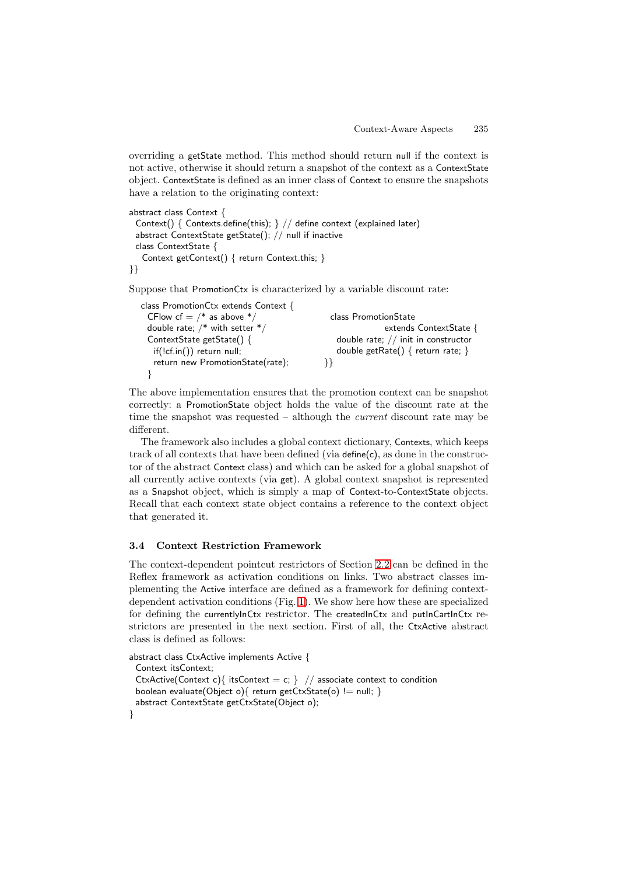overriding a getState method. This method should return null if the context is not active, otherwise it should return a snapshot of the context as a ContextState object. ContextState is defined as an inner class of Context to ensure the snapshots have a relation to the originating context:

```
abstract class Context {
 Context() { Contexts.define(this); } // define context (explained later)
 abstract ContextState getState(); // null if inactive
 class ContextState {
   Context getContext() { return Context.this; }
}}
```
Suppose that PromotionCtx is characterized by a variable discount rate:

| class PromotionCtx extends Context { |                                       |
|--------------------------------------|---------------------------------------|
| CFlow cf = $/*$ as above $*/$        | class PromotionState                  |
| double rate; $/*$ with setter $*/$   | extends ContextState {                |
| ContextState getState() {            | double rate; $//$ init in constructor |
| $if(!cf.in())$ return null;          | double getRate() { return rate; }     |
| return new PromotionState(rate);     |                                       |
|                                      |                                       |
|                                      |                                       |

The above implementation ensures that the promotion context can be snapshot correctly: a PromotionState object holds the value of the discount rate at the time the snapshot was requested – although the *current* discount rate may be different.

The framework also includes a global context dictionary, Contexts, which keeps track of all contexts that have been defined (via  $\text{define}(c)$ , as done in the constructor of the abstract Context class) and which can be asked for a global snapshot of all currently active contexts (via get). A global context snapshot is represented as a Snapshot object, which is simply a map of Context-to-ContextState objects. Recall that each context state object contains a reference to the context object that generated it.

#### **3.4 Context Restriction Framework**

The context-dependent pointcut restrictors of Section 2.2 can be defined in the Reflex framework as activation conditions on links. Two abstract classes implementing the Active interface are defined as a framework for defining contextdependent activation conditions (Fig. 1). We show here how these are specialized for defining the currentlyInCtx restrictor. The createdInCtx and putInCartInCtx restrictors are presented in the next section. First of all, the CtxActive abstract class is defined as follows:

```
abstract class CtxActive implements Active {
 Context itsContext;
 CtxActive(Context c){ itsContext = c; \} // associate context to condition
 boolean evaluate(Object o){ return getCtxState(o) != null; }
 abstract ContextState getCtxState(Object o);
}
```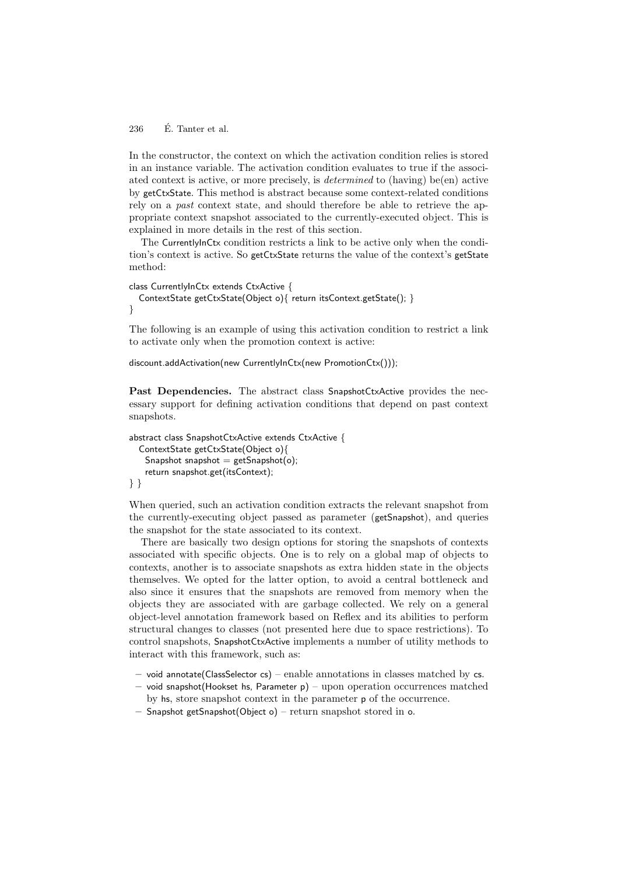In the constructor, the context on which the activation condition relies is stored in an instance variable. The activation condition evaluates to true if the associated context is active, or more precisely, is determined to (having) be(en) active by getCtxState. This method is abstract because some context-related conditions rely on a past context state, and should therefore be able to retrieve the appropriate context snapshot associated to the currently-executed object. This is explained in more details in the rest of this section.

The CurrentlyInCtx condition restricts a link to be active only when the condition's context is active. So getCtxState returns the value of the context's getState method:

```
class CurrentlyInCtx extends CtxActive {
  ContextState getCtxState(Object o){ return itsContext.getState(); }
}
```
The following is an example of using this activation condition to restrict a link to activate only when the promotion context is active:

discount.addActivation(new CurrentlyInCtx(new PromotionCtx()));

Past Dependencies. The abstract class SnapshotCtxActive provides the necessary support for defining activation conditions that depend on past context snapshots.

```
abstract class SnapshotCtxActive extends CtxActive {
  ContextState getCtxState(Object o){
   Snapshot snapshot = getSnapshot(o);
   return snapshot.get(itsContext);
} }
```
When queried, such an activation condition extracts the relevant snapshot from the currently-executing object passed as parameter (getSnapshot), and queries the snapshot for the state associated to its context.

There are basically two design options for storing the snapshots of contexts associated with specific objects. One is to rely on a global map of objects to contexts, another is to associate snapshots as extra hidden state in the objects themselves. We opted for the latter option, to avoid a central bottleneck and also since it ensures that the snapshots are removed from memory when the objects they are associated with are garbage collected. We rely on a general object-level annotation framework based on Reflex and its abilities to perform structural changes to classes (not presented here due to space restrictions). To control snapshots, SnapshotCtxActive implements a number of utility methods to interact with this framework, such as:

- **–** void annotate(ClassSelector cs) enable annotations in classes matched by cs.
- **–** void snapshot(Hookset hs, Parameter p) upon operation occurrences matched by hs, store snapshot context in the parameter p of the occurrence.
- **–** Snapshot getSnapshot(Object o) return snapshot stored in o.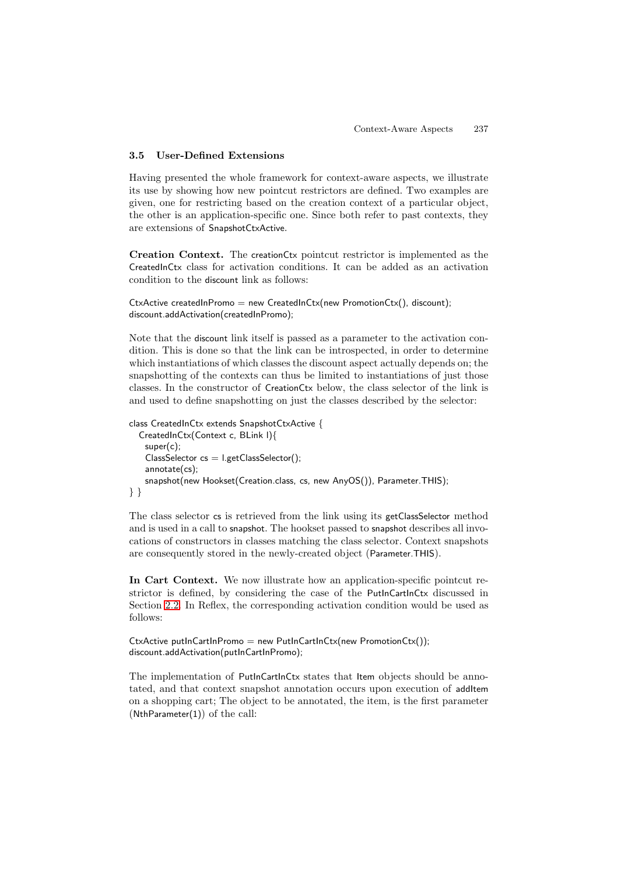#### **3.5 User-Defined Extensions**

Having presented the whole framework for context-aware aspects, we illustrate its use by showing how new pointcut restrictors are defined. Two examples are given, one for restricting based on the creation context of a particular object, the other is an application-specific one. Since both refer to past contexts, they are extensions of SnapshotCtxActive.

**Creation Context.** The creationCtx pointcut restrictor is implemented as the CreatedInCtx class for activation conditions. It can be added as an activation condition to the discount link as follows:

```
CtxActive created In Promo = new CreatednCtx(new PromotionCtx(), discount);discount.addActivation(createdInPromo);
```
Note that the discount link itself is passed as a parameter to the activation condition. This is done so that the link can be introspected, in order to determine which instantiations of which classes the discount aspect actually depends on; the snapshotting of the contexts can thus be limited to instantiations of just those classes. In the constructor of CreationCtx below, the class selector of the link is and used to define snapshotting on just the classes described by the selector:

```
class CreatedInCtx extends SnapshotCtxActive {
  CreatedInCtx(Context c, BLink l){
   super(c);
   ClassSelector cs = I.getClassSelect();annotate(cs);
   snapshot(new Hookset(Creation.class, cs, new AnyOS()), Parameter.THIS);
} }
```
The class selector cs is retrieved from the link using its getClassSelector method and is used in a call to snapshot. The hookset passed to snapshot describes all invocations of constructors in classes matching the class selector. Context snapshots are consequently stored in the newly-created object (Parameter.THIS).

**In Cart Context.** We now illustrate how an application-specific pointcut restrictor is defined, by considering the case of the PutInCartInCtx discussed in Section 2.2. In Reflex, the corresponding activation condition would be used as follows:

```
CtxActive putInCartInPromo = new PutInCartInCtx(new PromotionCtx());
discount.addActivation(putInCartInPromo);
```
The implementation of PutInCartInCtx states that Item objects should be annotated, and that context snapshot annotation occurs upon execution of addItem on a shopping cart; The object to be annotated, the item, is the first parameter (NthParameter(1)) of the call: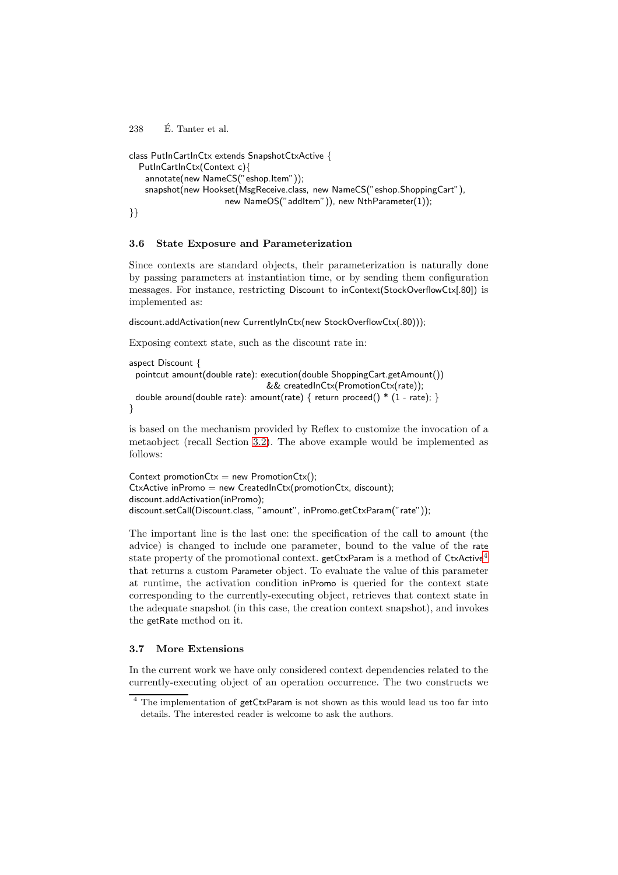```
class PutInCartInCtx extends SnapshotCtxActive {
  PutInCartInCtx(Context c){
   annotate(new NameCS("eshop.Item"));
   snapshot(new Hookset(MsgReceive.class, new NameCS("eshop.ShoppingCart"),
                      new NameOS("addItem")), new NthParameter(1));
}}
```
#### **3.6 State Exposure and Parameterization**

Since contexts are standard objects, their parameterization is naturally done by passing parameters at instantiation time, or by sending them configuration messages. For instance, restricting Discount to inContext(StockOverflowCtx[.80]) is implemented as:

discount.addActivation(new CurrentlyInCtx(new StockOverflowCtx(.80)));

Exposing context state, such as the discount rate in:

```
aspect Discount {
 pointcut amount(double rate): execution(double ShoppingCart.getAmount())
                                && createdInCtx(PromotionCtx(rate));
 double around(double rate): amount(rate) { return proceed() *(1 - rate); }
}
```
is based on the mechanism provided by Reflex to customize the invocation of a metaobject (recall Section 3.2). The above example would be implemented as follows:

```
Context promotionCtx = new PromotionCtx();
CtxActive in Promo = new CreatednCtx(promotionCtx, discount);discount.addActivation(inPromo);
discount.setCall(Discount.class, "amount", inPromo.getCtxParam("rate"));
```
The important line is the last one: the specification of the call to amount (the advice) is changed to include one parameter, bound to the value of the rate state property of the promotional context. getCtxParam is a method of CtxActive<sup>4</sup> that returns a custom Parameter object. To evaluate the value of this parameter at runtime, the activation condition inPromo is queried for the context state corresponding to the currently-executing object, retrieves that context state in the adequate snapshot (in this case, the creation context snapshot), and invokes the getRate method on it.

#### **3.7 More Extensions**

In the current work we have only considered context dependencies related to the currently-executing object of an operation occurrence. The two constructs we

The implementation of  $getCtxParam$  is not shown as this would lead us too far into details. The interested reader is welcome to ask the authors.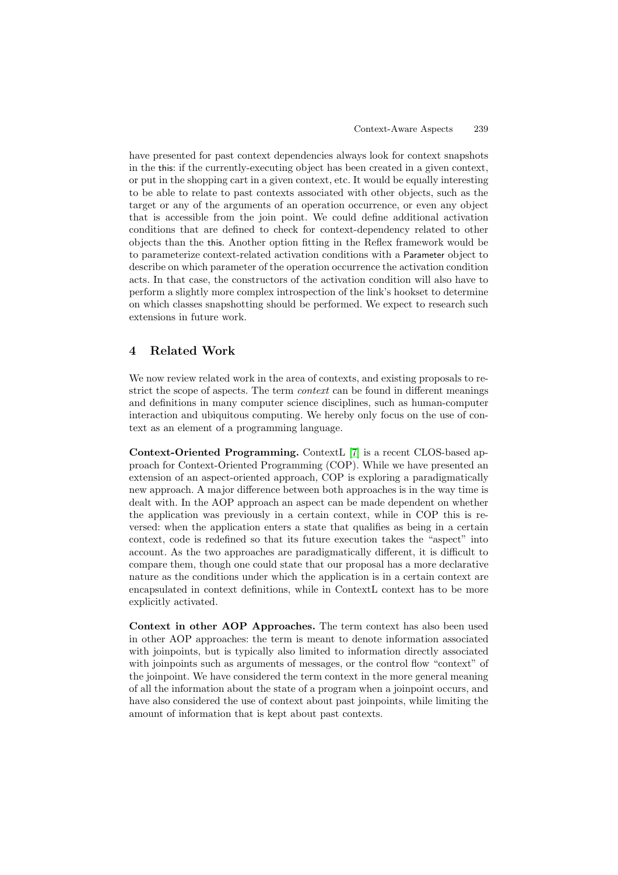have presented for past context dependencies always look for context snapshots in the this: if the currently-executing object has been created in a given context, or put in the shopping cart in a given context, etc. It would be equally interesting to be able to relate to past contexts associated with other objects, such as the target or any of the arguments of an operation occurrence, or even any object that is accessible from the join point. We could define additional activation conditions that are defined to check for context-dependency related to other objects than the this. Another option fitting in the Reflex framework would be to parameterize context-related activation conditions with a Parameter object to describe on which parameter of the operation occurrence the activation condition acts. In that case, the constructors of the activation condition will also have to perform a slightly more complex introspection of the link's hookset to determine on which classes snapshotting should be performed. We expect to research such extensions in future work.

## **4 Related Work**

We now review related work in the area of contexts, and existing proposals to restrict the scope of aspects. The term context can be found in different meanings and definitions in many computer science disciplines, such as human-computer interaction and ubiquitous computing. We hereby only focus on the use of context as an element of a programming language.

**Context-Oriented Programming.** ContextL [7] is a recent CLOS-based approach for Context-Oriented Programming (COP). While we have presented an extension of an aspect-oriented approach, COP is exploring a paradigmatically new approach. A major difference between both approaches is in the way time is dealt with. In the AOP approach an aspect can be made dependent on whether the application was previously in a certain context, while in COP this is reversed: when the application enters a state that qualifies as being in a certain context, code is redefined so that its future execution takes the "aspect" into account. As the two approaches are paradigmatically different, it is difficult to compare them, though one could state that our proposal has a more declarative nature as the conditions under which the application is in a certain context are encapsulated in context definitions, while in ContextL context has to be more explicitly activated.

**Context in other AOP Approaches.** The term context has also been used in other AOP approaches: the term is meant to denote information associated with joinpoints, but is typically also limited to information directly associated with joinpoints such as arguments of messages, or the control flow "context" of the joinpoint. We have considered the term context in the more general meaning of all the information about the state of a program when a joinpoint occurs, and have also considered the use of context about past joinpoints, while limiting the amount of information that is kept about past contexts.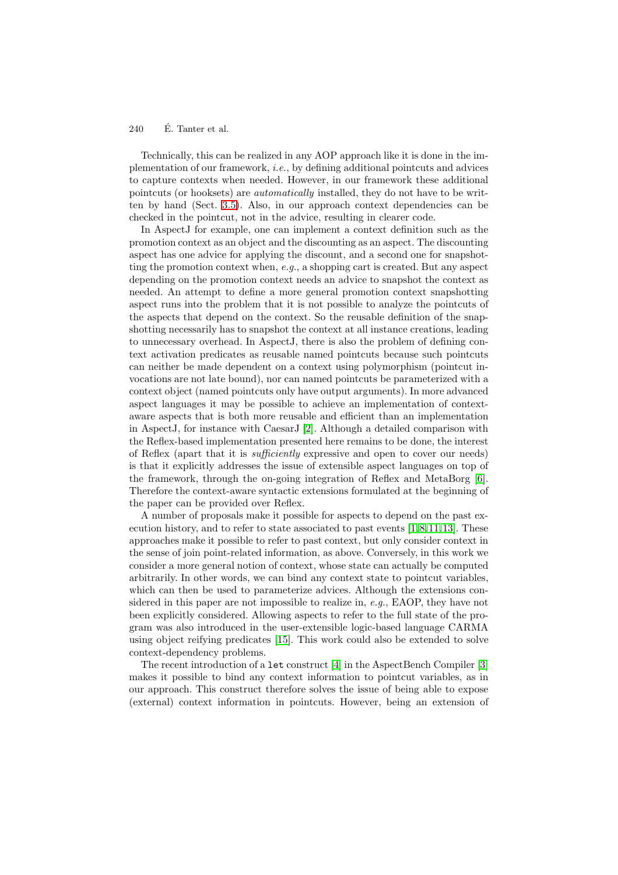Technically, this can be realized in any AOP approach like it is done in the implementation of our framework, i.e., by defining additional pointcuts and advices to capture contexts when needed. However, in our framework these additional pointcuts (or hooksets) are automatically installed, they do not have to be written by hand (Sect. 3.5). Also, in our approach context dependencies can be checked in the pointcut, not in the advice, resulting in clearer code.

In AspectJ for example, one can implement a context definition such as the promotion context as an object and the discounting as an aspect. The discounting aspect has one advice for applying the discount, and a second one for snapshotting the promotion context when,  $e.g.,$  a shopping cart is created. But any aspect depending on the promotion context needs an advice to snapshot the context as needed. An attempt to define a more general promotion context snapshotting aspect runs into the problem that it is not possible to analyze the pointcuts of the aspects that depend on the context. So the reusable definition of the snapshotting necessarily has to snapshot the context at all instance creations, leading to unnecessary overhead. In AspectJ, there is also the problem of defining context activation predicates as reusable named pointcuts because such pointcuts can neither be made dependent on a context using polymorphism (pointcut invocations are not late bound), nor can named pointcuts be parameterized with a context object (named pointcuts only have output arguments). In more advanced aspect languages it may be possible to achieve an implementation of contextaware aspects that is both more reusable and efficient than an implementation in AspectJ, for instance with CaesarJ [2]. Although a detailed comparison with the Reflex-based implementation presented here remains to be done, the interest of Reflex (apart that it is sufficiently expressive and open to cover our needs) is that it explicitly addresses the issue of extensible aspect languages on top of the framework, through the on-going integration of Reflex and MetaBorg [6]. Therefore the context-aware syntactic extensions formulated at the beginning of the paper can be provided over Reflex.

A number of proposals make it possible for aspects to depend on the past execution history, and to refer to state associated to past events [1,8,11,13]. These approaches make it possible to refer to past context, but only consider context in the sense of join point-related information, as above. Conversely, in this work we consider a more general notion of context, whose state can actually be computed arbitrarily. In other words, we can bind any context state to pointcut variables, which can then be used to parameterize advices. Although the extensions considered in this paper are not impossible to realize in, e.g., EAOP, they have not been explicitly considered. Allowing aspects to refer to the full state of the program was also introduced in the user-extensible logic-based language CARMA using object reifying predicates [15]. This work could also be extended to solve context-dependency problems.

The recent introduction of a let construct [4] in the AspectBench Compiler [3] makes it possible to bind any context information to pointcut variables, as in our approach. This construct therefore solves the issue of being able to expose (external) context information in pointcuts. However, being an extension of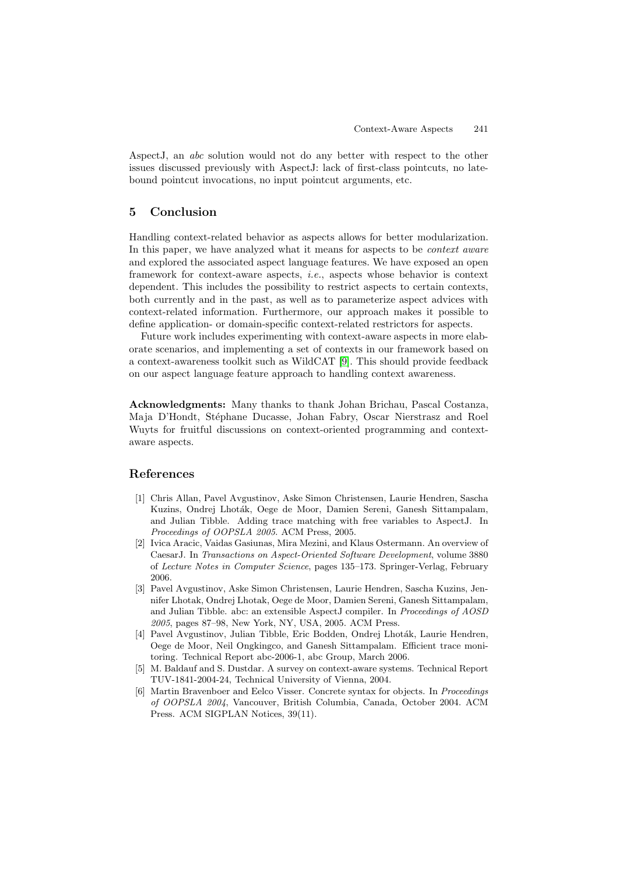AspectJ, an abc solution would not do any better with respect to the other issues discussed previously with AspectJ: lack of first-class pointcuts, no latebound pointcut invocations, no input pointcut arguments, etc.

### **5 Conclusion**

Handling context-related behavior as aspects allows for better modularization. In this paper, we have analyzed what it means for aspects to be *context aware* and explored the associated aspect language features. We have exposed an open framework for context-aware aspects, i.e., aspects whose behavior is context dependent. This includes the possibility to restrict aspects to certain contexts, both currently and in the past, as well as to parameterize aspect advices with context-related information. Furthermore, our approach makes it possible to define application- or domain-specific context-related restrictors for aspects.

Future work includes experimenting with context-aware aspects in more elaborate scenarios, and implementing a set of contexts in our framework based on a context-awareness toolkit such as WildCAT [9]. This should provide feedback on our aspect language feature approach to handling context awareness.

**Acknowledgments:** Many thanks to thank Johan Brichau, Pascal Costanza, Maja D'Hondt, Stéphane Ducasse, Johan Fabry, Oscar Nierstrasz and Roel Wuyts for fruitful discussions on context-oriented programming and contextaware aspects.

### **References**

- [1] Chris Allan, Pavel Avgustinov, Aske Simon Christensen, Laurie Hendren, Sascha Kuzins, Ondrej Lhoták, Oege de Moor, Damien Sereni, Ganesh Sittampalam, and Julian Tibble. Adding trace matching with free variables to AspectJ. In Proceedings of OOPSLA 2005. ACM Press, 2005.
- [2] Ivica Aracic, Vaidas Gasiunas, Mira Mezini, and Klaus Ostermann. An overview of CaesarJ. In Transactions on Aspect-Oriented Software Development, volume 3880 of Lecture Notes in Computer Science, pages 135–173. Springer-Verlag, February 2006.
- [3] Pavel Avgustinov, Aske Simon Christensen, Laurie Hendren, Sascha Kuzins, Jennifer Lhotak, Ondrej Lhotak, Oege de Moor, Damien Sereni, Ganesh Sittampalam, and Julian Tibble. abc: an extensible AspectJ compiler. In Proceedings of AOSD 2005, pages 87–98, New York, NY, USA, 2005. ACM Press.
- [4] Pavel Avgustinov, Julian Tibble, Eric Bodden, Ondrej Lhoták, Laurie Hendren, Oege de Moor, Neil Ongkingco, and Ganesh Sittampalam. Efficient trace monitoring. Technical Report abc-2006-1, abc Group, March 2006.
- [5] M. Baldauf and S. Dustdar. A survey on context-aware systems. Technical Report TUV-1841-2004-24, Technical University of Vienna, 2004.
- [6] Martin Bravenboer and Eelco Visser. Concrete syntax for objects. In Proceedings of OOPSLA 2004, Vancouver, British Columbia, Canada, October 2004. ACM Press. ACM SIGPLAN Notices, 39(11).